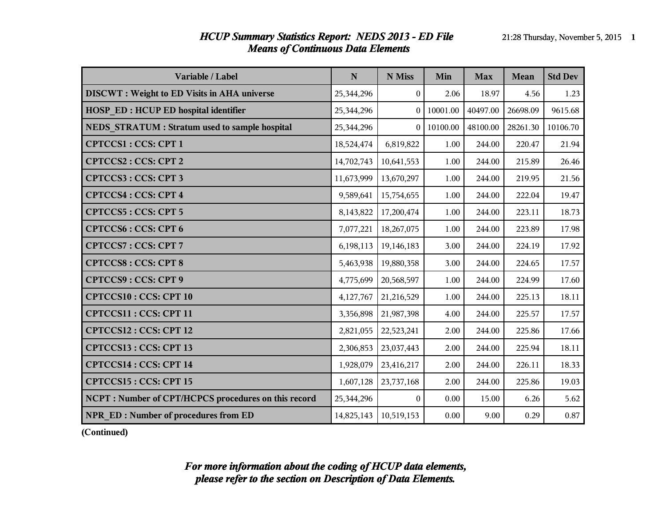#### *HCUP Summary Statistics Report: NEDS 2013 - ED File* 21:28 Thursday, November 5, 2015 **1** *Means of Continuous Data Elements*

| Variable / Label                                    | N          | N Miss           | Min      | <b>Max</b> | <b>Mean</b> | <b>Std Dev</b> |
|-----------------------------------------------------|------------|------------------|----------|------------|-------------|----------------|
| <b>DISCWT</b> : Weight to ED Visits in AHA universe | 25,344,296 | $\boldsymbol{0}$ | 2.06     | 18.97      | 4.56        | 1.23           |
| HOSP_ED : HCUP ED hospital identifier               | 25,344,296 |                  | 10001.00 | 40497.00   | 26698.09    | 9615.68        |
| NEDS STRATUM : Stratum used to sample hospital      | 25,344,296 | $\Omega$         | 10100.00 | 48100.00   | 28261.30    | 10106.70       |
| <b>CPTCCS1: CCS: CPT 1</b>                          | 18,524,474 | 6,819,822        | 1.00     | 244.00     | 220.47      | 21.94          |
| <b>CPTCCS2: CCS: CPT 2</b>                          | 14,702,743 | 10,641,553       | 1.00     | 244.00     | 215.89      | 26.46          |
| <b>CPTCCS3: CCS: CPT 3</b>                          | 11,673,999 | 13,670,297       | 1.00     | 244.00     | 219.95      | 21.56          |
| <b>CPTCCS4: CCS: CPT 4</b>                          | 9,589,641  | 15,754,655       | 1.00     | 244.00     | 222.04      | 19.47          |
| <b>CPTCCS5: CCS: CPT 5</b>                          | 8,143,822  | 17,200,474       | 1.00     | 244.00     | 223.11      | 18.73          |
| <b>CPTCCS6: CCS: CPT 6</b>                          | 7,077,221  | 18,267,075       | 1.00     | 244.00     | 223.89      | 17.98          |
| <b>CPTCCS7: CCS: CPT 7</b>                          | 6,198,113  | 19,146,183       | 3.00     | 244.00     | 224.19      | 17.92          |
| <b>CPTCCS8: CCS: CPT 8</b>                          | 5,463,938  | 19,880,358       | 3.00     | 244.00     | 224.65      | 17.57          |
| <b>CPTCCS9: CCS: CPT 9</b>                          | 4,775,699  | 20,568,597       | 1.00     | 244.00     | 224.99      | 17.60          |
| <b>CPTCCS10: CCS: CPT 10</b>                        | 4,127,767  | 21,216,529       | 1.00     | 244.00     | 225.13      | 18.11          |
| CPTCCS11: CCS: CPT 11                               | 3,356,898  | 21,987,398       | 4.00     | 244.00     | 225.57      | 17.57          |
| CPTCCS12: CCS: CPT 12                               | 2,821,055  | 22,523,241       | 2.00     | 244.00     | 225.86      | 17.66          |
| CPTCCS13: CCS: CPT 13                               | 2,306,853  | 23,037,443       | 2.00     | 244.00     | 225.94      | 18.11          |
| CPTCCS14 : CCS: CPT 14                              | 1,928,079  | 23,416,217       | 2.00     | 244.00     | 226.11      | 18.33          |
| <b>CPTCCS15: CCS: CPT 15</b>                        | 1,607,128  | 23,737,168       | 2.00     | 244.00     | 225.86      | 19.03          |
| NCPT: Number of CPT/HCPCS procedures on this record | 25,344,296 | $\Omega$         | 0.00     | 15.00      | 6.26        | 5.62           |
| <b>NPR ED: Number of procedures from ED</b>         | 14,825,143 | 10,519,153       | 0.00     | 9.00       | 0.29        | 0.87           |

**(Continued)**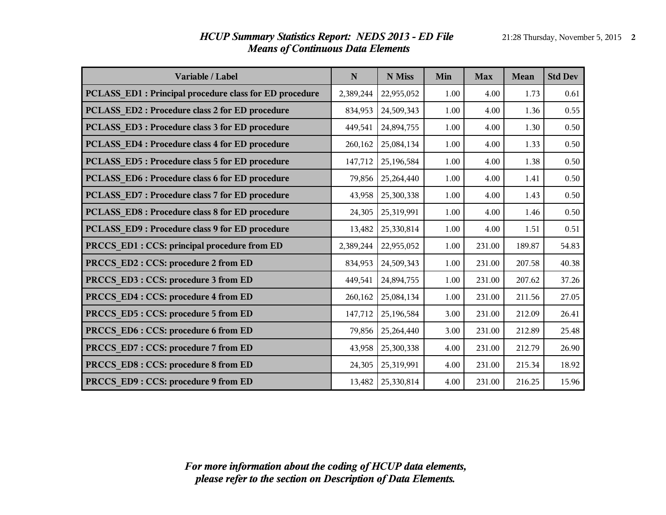| Variable / Label                                       | N         | N Miss              | Min  | <b>Max</b> | <b>Mean</b> | <b>Std Dev</b> |
|--------------------------------------------------------|-----------|---------------------|------|------------|-------------|----------------|
| PCLASS_ED1: Principal procedure class for ED procedure | 2,389,244 | 22,955,052          | 1.00 | 4.00       | 1.73        | 0.61           |
| PCLASS ED2: Procedure class 2 for ED procedure         | 834,953   | 24,509,343          | 1.00 | 4.00       | 1.36        | 0.55           |
| PCLASS_ED3: Procedure class 3 for ED procedure         | 449,541   | 24,894,755          | 1.00 | 4.00       | 1.30        | 0.50           |
| PCLASS ED4 : Procedure class 4 for ED procedure        | 260,162   | 25,084,134          | 1.00 | 4.00       | 1.33        | 0.50           |
| PCLASS_ED5: Procedure class 5 for ED procedure         | 147,712   | 25,196,584          | 1.00 | 4.00       | 1.38        | 0.50           |
| PCLASS ED6 : Procedure class 6 for ED procedure        | 79,856    | 25,264,440          | 1.00 | 4.00       | 1.41        | 0.50           |
| PCLASS_ED7: Procedure class 7 for ED procedure         | 43,958    | 25,300,338          | 1.00 | 4.00       | 1.43        | 0.50           |
| PCLASS_ED8: Procedure class 8 for ED procedure         | 24,305    | 25,319,991          | 1.00 | 4.00       | 1.46        | 0.50           |
| PCLASS ED9: Procedure class 9 for ED procedure         | 13,482    | 25,330,814          | 1.00 | 4.00       | 1.51        | 0.51           |
| PRCCS_ED1 : CCS: principal procedure from ED           | 2,389,244 | 22,955,052          | 1.00 | 231.00     | 189.87      | 54.83          |
| PRCCS_ED2: CCS: procedure 2 from ED                    | 834,953   | 24,509,343          | 1.00 | 231.00     | 207.58      | 40.38          |
| PRCCS_ED3: CCS: procedure 3 from ED                    | 449,541   | 24,894,755          | 1.00 | 231.00     | 207.62      | 37.26          |
| PRCCS_ED4: CCS: procedure 4 from ED                    | 260,162   | 25,084,134          | 1.00 | 231.00     | 211.56      | 27.05          |
| PRCCS_ED5: CCS: procedure 5 from ED                    | 147,712   | 25,196,584          | 3.00 | 231.00     | 212.09      | 26.41          |
| PRCCS_ED6: CCS: procedure 6 from ED                    | 79,856    | 25,264,440          | 3.00 | 231.00     | 212.89      | 25.48          |
| PRCCS_ED7: CCS: procedure 7 from ED                    | 43,958    | 25,300,338          | 4.00 | 231.00     | 212.79      | 26.90          |
| PRCCS_ED8: CCS: procedure 8 from ED                    | 24,305    | 25,319,991          | 4.00 | 231.00     | 215.34      | 18.92          |
| PRCCS ED9 : CCS: procedure 9 from ED                   |           | 13,482   25,330,814 | 4.00 | 231.00     | 216.25      | 15.96          |

### *HCUP Summary Statistics Report: NEDS 2013 - ED File* 21:28 Thursday, November 5, 2015 2 *Means of Continuous Data Elements*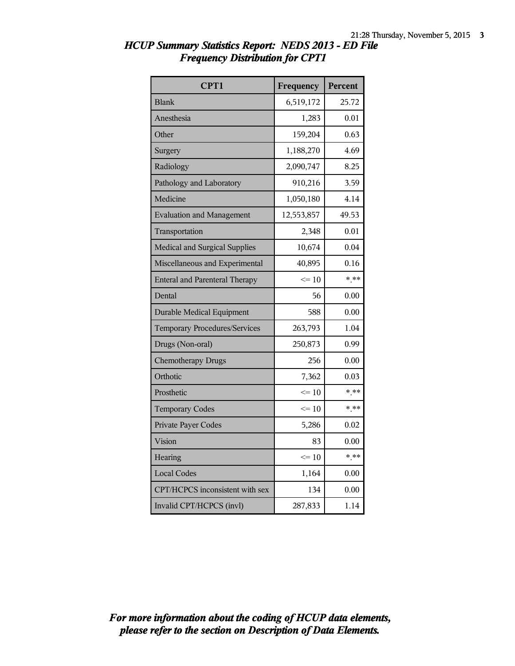| CPT1                                  | Frequency  | Percent |
|---------------------------------------|------------|---------|
| <b>Blank</b>                          | 6,519,172  | 25.72   |
| Anesthesia                            | 1,283      | 0.01    |
| Other                                 | 159,204    | 0.63    |
| Surgery                               | 1,188,270  | 4.69    |
| Radiology                             | 2,090,747  | 8.25    |
| Pathology and Laboratory              | 910,216    | 3.59    |
| Medicine                              | 1,050,180  | 4.14    |
| <b>Evaluation and Management</b>      | 12,553,857 | 49.53   |
| Transportation                        | 2,348      | 0.01    |
| Medical and Surgical Supplies         | 10,674     | 0.04    |
| Miscellaneous and Experimental        | 40,895     | 0.16    |
| <b>Enteral and Parenteral Therapy</b> | $<=10$     | $* * *$ |
| Dental                                | 56         | 0.00    |
| <b>Durable Medical Equipment</b>      | 588        | 0.00    |
| <b>Temporary Procedures/Services</b>  | 263,793    | 1.04    |
| Drugs (Non-oral)                      | 250,873    | 0.99    |
| <b>Chemotherapy Drugs</b>             | 256        | 0.00    |
| Orthotic                              | 7,362      | 0.03    |
| Prosthetic                            | $\leq 10$  | $* * *$ |
| <b>Temporary Codes</b>                | $<=10$     | $* * *$ |
| Private Payer Codes                   | 5,286      | 0.02    |
| Vision                                | 83         | 0.00    |
| Hearing                               | $\leq 10$  | $* * *$ |
| <b>Local Codes</b>                    | 1,164      | 0.00    |
| CPT/HCPCS inconsistent with sex       | 134        | 0.00    |
| Invalid CPT/HCPCS (invl)              | 287,833    | 1.14    |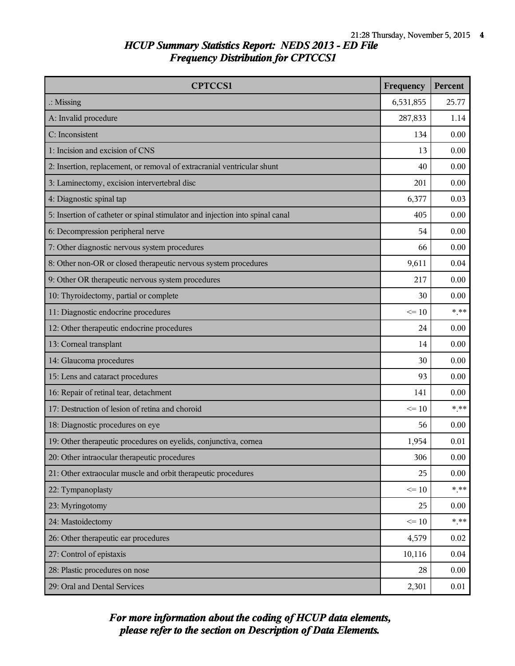| <b>CPTCCS1</b>                                                                | Frequency | Percent |
|-------------------------------------------------------------------------------|-----------|---------|
| $\therefore$ Missing                                                          | 6,531,855 | 25.77   |
| A: Invalid procedure                                                          | 287,833   | 1.14    |
| C: Inconsistent                                                               | 134       | 0.00    |
| 1: Incision and excision of CNS                                               | 13        | 0.00    |
| 2: Insertion, replacement, or removal of extracranial ventricular shunt       | 40        | 0.00    |
| 3: Laminectomy, excision intervertebral disc                                  | 201       | 0.00    |
| 4: Diagnostic spinal tap                                                      | 6,377     | 0.03    |
| 5: Insertion of catheter or spinal stimulator and injection into spinal canal | 405       | 0.00    |
| 6: Decompression peripheral nerve                                             | 54        | 0.00    |
| 7: Other diagnostic nervous system procedures                                 | 66        | 0.00    |
| 8: Other non-OR or closed therapeutic nervous system procedures               | 9,611     | 0.04    |
| 9: Other OR therapeutic nervous system procedures                             | 217       | 0.00    |
| 10: Thyroidectomy, partial or complete                                        | 30        | 0.00    |
| 11: Diagnostic endocrine procedures                                           | $\leq 10$ | * **    |
| 12: Other therapeutic endocrine procedures                                    | 24        | 0.00    |
| 13: Corneal transplant                                                        | 14        | 0.00    |
| 14: Glaucoma procedures                                                       | 30        | 0.00    |
| 15: Lens and cataract procedures                                              | 93        | 0.00    |
| 16: Repair of retinal tear, detachment                                        | 141       | 0.00    |
| 17: Destruction of lesion of retina and choroid                               | $\leq 10$ | $*$ **  |
| 18: Diagnostic procedures on eye                                              | 56        | 0.00    |
| 19: Other therapeutic procedures on eyelids, conjunctiva, cornea              | 1,954     | 0.01    |
| 20: Other intraocular therapeutic procedures                                  | 306       | 0.00    |
| 21: Other extraocular muscle and orbit therapeutic procedures                 | 25        | 0.00    |
| 22: Tympanoplasty                                                             | $\leq 10$ | $***$   |
| 23: Myringotomy                                                               | 25        | 0.00    |
| 24: Mastoidectomy                                                             | $\leq 10$ | $***$   |
| 26: Other therapeutic ear procedures                                          | 4,579     | 0.02    |
| 27: Control of epistaxis                                                      | 10,116    | 0.04    |
| 28: Plastic procedures on nose                                                | 28        | 0.00    |
| 29: Oral and Dental Services                                                  | 2,301     | 0.01    |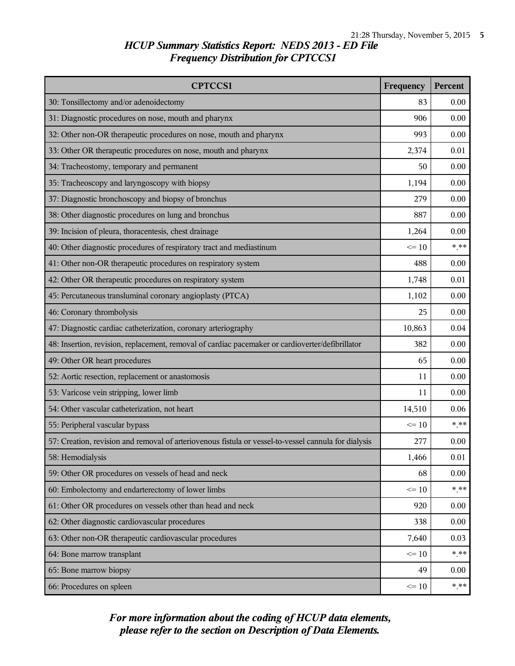| <b>CPTCCS1</b>                                                                                       | Frequency       | Percent |
|------------------------------------------------------------------------------------------------------|-----------------|---------|
| 30: Tonsillectomy and/or adenoidectomy                                                               | 83              | 0.00    |
| 31: Diagnostic procedures on nose, mouth and pharynx                                                 | 906             | 0.00    |
| 32: Other non-OR therapeutic procedures on nose, mouth and pharynx                                   | 993             | 0.00    |
| 33: Other OR therapeutic procedures on nose, mouth and pharynx                                       | 2,374           | 0.01    |
| 34: Tracheostomy, temporary and permanent                                                            | 50              | 0.00    |
| 35: Tracheoscopy and laryngoscopy with biopsy                                                        | 1,194           | 0.00    |
| 37: Diagnostic bronchoscopy and biopsy of bronchus                                                   | 279             | 0.00    |
| 38: Other diagnostic procedures on lung and bronchus                                                 | 887             | 0.00    |
| 39: Incision of pleura, thoracentesis, chest drainage                                                | 1,264           | 0.00    |
| 40: Other diagnostic procedures of respiratory tract and mediastinum                                 | $\leq$ 10       | $*$ **  |
| 41: Other non-OR therapeutic procedures on respiratory system                                        | 488             | 0.00    |
| 42: Other OR therapeutic procedures on respiratory system                                            | 1,748           | 0.01    |
| 45: Percutaneous transluminal coronary angioplasty (PTCA)                                            | 1,102           | 0.00    |
| 46: Coronary thrombolysis                                                                            | 25              | 0.00    |
| 47: Diagnostic cardiac catheterization, coronary arteriography                                       |                 | 0.04    |
| 48: Insertion, revision, replacement, removal of cardiac pacemaker or cardioverter/defibrillator     |                 | 0.00    |
| 49: Other OR heart procedures                                                                        | 65              | 0.00    |
| 52: Aortic resection, replacement or anastomosis                                                     | 11              | 0.00    |
| 53: Varicose vein stripping, lower limb                                                              |                 | 0.00    |
| 54: Other vascular catheterization, not heart                                                        | 14,510          | 0.06    |
| 55: Peripheral vascular bypass                                                                       | $\leq 10$       | $***$   |
| 57: Creation, revision and removal of arteriovenous fistula or vessel-to-vessel cannula for dialysis | 277             | 0.00    |
| 58: Hemodialysis                                                                                     | 1,466           | 0.01    |
| 59: Other OR procedures on vessels of head and neck                                                  | 68              | 0.00    |
| 60: Embolectomy and endarterectomy of lower limbs                                                    | $\leq 10$       | $***$   |
| 61: Other OR procedures on vessels other than head and neck                                          | 920             | 0.00    |
| 62: Other diagnostic cardiovascular procedures                                                       | 338             | 0.00    |
| 63: Other non-OR therapeutic cardiovascular procedures                                               | 7,640           | 0.03    |
| 64: Bone marrow transplant                                                                           | $\leq 10$       | $***$   |
| 65: Bone marrow biopsy                                                                               | 49              | 0.00    |
| 66: Procedures on spleen                                                                             | $\Leftarrow$ 10 | $***$   |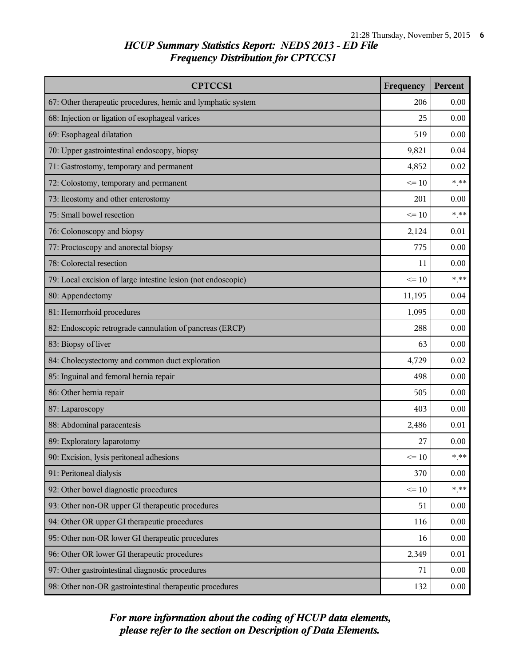| <b>CPTCCS1</b>                                                | Frequency | Percent |
|---------------------------------------------------------------|-----------|---------|
| 67: Other therapeutic procedures, hemic and lymphatic system  | 206       | 0.00    |
| 68: Injection or ligation of esophageal varices               | 25        | 0.00    |
| 69: Esophageal dilatation                                     | 519       | 0.00    |
| 70: Upper gastrointestinal endoscopy, biopsy                  | 9,821     | 0.04    |
| 71: Gastrostomy, temporary and permanent                      | 4,852     | 0.02    |
| 72: Colostomy, temporary and permanent                        | $\leq 10$ | $***$   |
| 73: Ileostomy and other enterostomy                           | 201       | 0.00    |
| 75: Small bowel resection                                     | $\leq 10$ | $***$   |
| 76: Colonoscopy and biopsy                                    | 2,124     | 0.01    |
| 77: Proctoscopy and anorectal biopsy                          | 775       | 0.00    |
| 78: Colorectal resection                                      | 11        | 0.00    |
| 79: Local excision of large intestine lesion (not endoscopic) | $\leq 10$ | $***$   |
| 80: Appendectomy                                              | 11,195    | 0.04    |
| 81: Hemorrhoid procedures                                     |           | 0.00    |
| 82: Endoscopic retrograde cannulation of pancreas (ERCP)      |           | 0.00    |
| 83: Biopsy of liver                                           |           | 0.00    |
| 84: Cholecystectomy and common duct exploration               | 4,729     | 0.02    |
| 85: Inguinal and femoral hernia repair                        |           | 0.00    |
| 86: Other hernia repair                                       |           | 0.00    |
| 87: Laparoscopy                                               | 403       | 0.00    |
| 88: Abdominal paracentesis                                    | 2,486     | 0.01    |
| 89: Exploratory laparotomy                                    | 27        | 0.00    |
| 90: Excision, lysis peritoneal adhesions                      | $\leq 10$ | $*$ **  |
| 91: Peritoneal dialysis                                       | 370       | 0.00    |
| 92: Other bowel diagnostic procedures                         | $\leq 10$ | $***$   |
| 93: Other non-OR upper GI therapeutic procedures              | 51        | 0.00    |
| 94: Other OR upper GI therapeutic procedures                  | 116       | 0.00    |
| 95: Other non-OR lower GI therapeutic procedures              |           | 0.00    |
| 96: Other OR lower GI therapeutic procedures                  |           | 0.01    |
| 97: Other gastrointestinal diagnostic procedures              |           | 0.00    |
| 98: Other non-OR gastrointestinal therapeutic procedures      | 132       | 0.00    |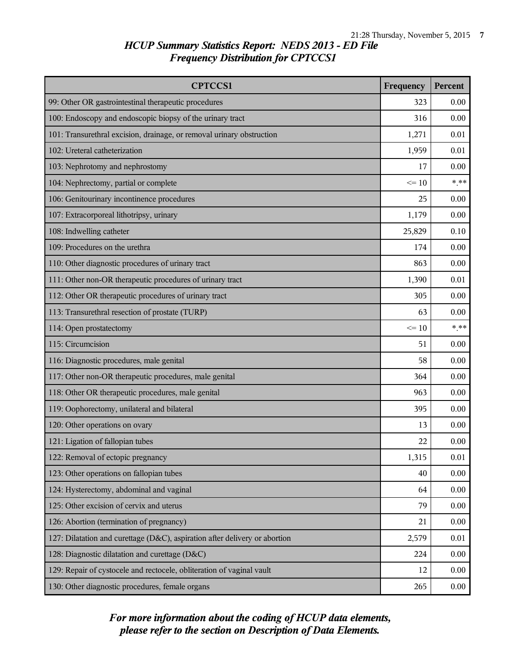| <b>CPTCCS1</b>                                                             | Frequency | Percent  |
|----------------------------------------------------------------------------|-----------|----------|
| 99: Other OR gastrointestinal therapeutic procedures                       | 323       | 0.00     |
| 100: Endoscopy and endoscopic biopsy of the urinary tract                  | 316       | 0.00     |
| 101: Transurethral excision, drainage, or removal urinary obstruction      | 1,271     | 0.01     |
| 102: Ureteral catheterization                                              | 1,959     | 0.01     |
| 103: Nephrotomy and nephrostomy                                            | 17        | 0.00     |
| 104: Nephrectomy, partial or complete                                      | $\leq 10$ | $***$    |
| 106: Genitourinary incontinence procedures                                 | 25        | 0.00     |
| 107: Extracorporeal lithotripsy, urinary                                   | 1,179     | 0.00     |
| 108: Indwelling catheter                                                   | 25,829    | 0.10     |
| 109: Procedures on the urethra                                             | 174       | 0.00     |
| 110: Other diagnostic procedures of urinary tract                          | 863       | 0.00     |
| 111: Other non-OR therapeutic procedures of urinary tract                  | 1,390     | 0.01     |
| 112: Other OR therapeutic procedures of urinary tract                      | 305       | 0.00     |
| 113: Transurethral resection of prostate (TURP)                            | 63        | 0.00     |
| 114: Open prostatectomy                                                    |           | $***$    |
| 115: Circumcision                                                          |           | 0.00     |
| 116: Diagnostic procedures, male genital                                   | 58        | 0.00     |
| 117: Other non-OR therapeutic procedures, male genital                     |           | 0.00     |
| 118: Other OR therapeutic procedures, male genital                         |           | 0.00     |
| 119: Oophorectomy, unilateral and bilateral                                | 395       | 0.00     |
| 120: Other operations on ovary                                             | 13        | 0.00     |
| 121: Ligation of fallopian tubes                                           | 22        | 0.00     |
| 122: Removal of ectopic pregnancy                                          | 1,315     | $0.01\,$ |
| 123: Other operations on fallopian tubes                                   | 40        | 0.00     |
| 124: Hysterectomy, abdominal and vaginal                                   | 64        | 0.00     |
| 125: Other excision of cervix and uterus                                   | 79        | 0.00     |
| 126: Abortion (termination of pregnancy)                                   | 21        | 0.00     |
| 127: Dilatation and curettage (D&C), aspiration after delivery or abortion | 2,579     | 0.01     |
| 128: Diagnostic dilatation and curettage (D&C)                             | 224       | 0.00     |
| 129: Repair of cystocele and rectocele, obliteration of vaginal vault      | 12        | 0.00     |
| 130: Other diagnostic procedures, female organs                            |           | 0.00     |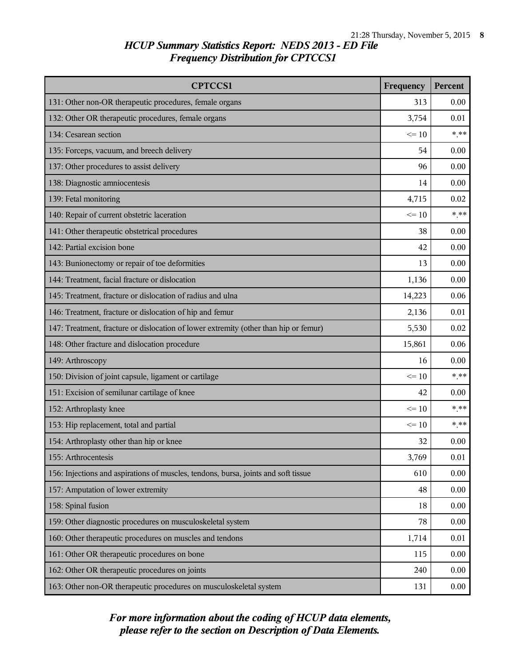| <b>CPTCCS1</b>                                                                       | Frequency | Percent |
|--------------------------------------------------------------------------------------|-----------|---------|
| 131: Other non-OR therapeutic procedures, female organs                              | 313       | 0.00    |
| 132: Other OR therapeutic procedures, female organs                                  | 3,754     | 0.01    |
| 134: Cesarean section                                                                | $\leq 10$ | $***$   |
| 135: Forceps, vacuum, and breech delivery                                            | 54        | 0.00    |
| 137: Other procedures to assist delivery                                             | 96        | 0.00    |
| 138: Diagnostic amniocentesis                                                        | 14        | 0.00    |
| 139: Fetal monitoring                                                                | 4,715     | 0.02    |
| 140: Repair of current obstetric laceration                                          | $\leq 10$ | $***$   |
| 141: Other therapeutic obstetrical procedures                                        | 38        | 0.00    |
| 142: Partial excision bone                                                           | 42        | 0.00    |
| 143: Bunionectomy or repair of toe deformities                                       | 13        | 0.00    |
| 144: Treatment, facial fracture or dislocation                                       | 1,136     | 0.00    |
| 145: Treatment, fracture or dislocation of radius and ulna                           | 14,223    | 0.06    |
| 146: Treatment, fracture or dislocation of hip and femur                             | 2,136     | 0.01    |
| 147: Treatment, fracture or dislocation of lower extremity (other than hip or femur) |           | 0.02    |
| 148: Other fracture and dislocation procedure                                        |           | 0.06    |
| 149: Arthroscopy                                                                     | 16        | 0.00    |
| 150: Division of joint capsule, ligament or cartilage                                | $\leq 10$ | $***$   |
| 151: Excision of semilunar cartilage of knee                                         |           | 0.00    |
| 152: Arthroplasty knee                                                               | $\leq 10$ | $***$   |
| 153: Hip replacement, total and partial                                              | $\leq$ 10 | $* * *$ |
| 154: Arthroplasty other than hip or knee                                             | 32        | 0.00    |
| 155: Arthrocentesis                                                                  | 3,769     | 0.01    |
| 156: Injections and aspirations of muscles, tendons, bursa, joints and soft tissue   | 610       | 0.00    |
| 157: Amputation of lower extremity                                                   | 48        | 0.00    |
| 158: Spinal fusion                                                                   | 18        | 0.00    |
| 159: Other diagnostic procedures on musculoskeletal system                           | 78        | 0.00    |
| 160: Other therapeutic procedures on muscles and tendons                             | 1,714     | 0.01    |
| 161: Other OR therapeutic procedures on bone                                         | 115       | 0.00    |
| 162: Other OR therapeutic procedures on joints                                       |           | 0.00    |
| 163: Other non-OR therapeutic procedures on musculoskeletal system                   |           | 0.00    |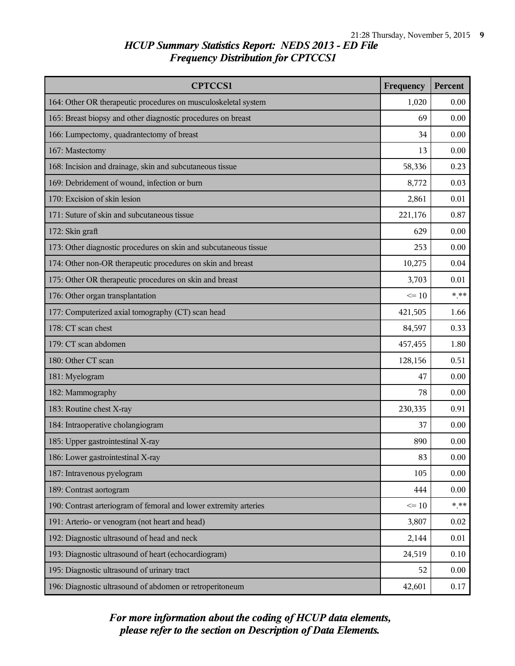| <b>CPTCCS1</b>                                                    | Frequency | Percent |
|-------------------------------------------------------------------|-----------|---------|
| 164: Other OR therapeutic procedures on musculoskeletal system    | 1,020     | 0.00    |
| 165: Breast biopsy and other diagnostic procedures on breast      | 69        | 0.00    |
| 166: Lumpectomy, quadrantectomy of breast                         | 34        | 0.00    |
| 167: Mastectomy                                                   | 13        | 0.00    |
| 168: Incision and drainage, skin and subcutaneous tissue          | 58,336    | 0.23    |
| 169: Debridement of wound, infection or burn                      | 8,772     | 0.03    |
| 170: Excision of skin lesion                                      | 2,861     | 0.01    |
| 171: Suture of skin and subcutaneous tissue                       | 221,176   | 0.87    |
| 172: Skin graft                                                   | 629       | 0.00    |
| 173: Other diagnostic procedures on skin and subcutaneous tissue  | 253       | 0.00    |
| 174: Other non-OR therapeutic procedures on skin and breast       | 10,275    | 0.04    |
| 175: Other OR therapeutic procedures on skin and breast           | 3,703     | 0.01    |
| 176: Other organ transplantation                                  | $\leq 10$ | $***$   |
| 177: Computerized axial tomography (CT) scan head                 | 421,505   | 1.66    |
| 178: CT scan chest                                                |           | 0.33    |
| 179: CT scan abdomen                                              |           | 1.80    |
| 180: Other CT scan                                                | 128,156   | 0.51    |
| 181: Myelogram                                                    | 47        | 0.00    |
| 182: Mammography                                                  | 78        | 0.00    |
| 183: Routine chest X-ray                                          | 230,335   | 0.91    |
| 184: Intraoperative cholangiogram                                 | 37        | 0.00    |
| 185: Upper gastrointestinal X-ray                                 | 890       | 0.00    |
| 186: Lower gastrointestinal X-ray                                 | 83        | 0.00    |
| 187: Intravenous pyelogram                                        | 105       | 0.00    |
| 189: Contrast aortogram                                           | 444       | 0.00    |
| 190: Contrast arteriogram of femoral and lower extremity arteries | $\leq 10$ | $* * *$ |
| 191: Arterio- or venogram (not heart and head)                    | 3,807     | 0.02    |
| 192: Diagnostic ultrasound of head and neck                       |           | 0.01    |
| 193: Diagnostic ultrasound of heart (echocardiogram)              |           | 0.10    |
| 195: Diagnostic ultrasound of urinary tract                       |           | 0.00    |
| 196: Diagnostic ultrasound of abdomen or retroperitoneum          | 42,601    | 0.17    |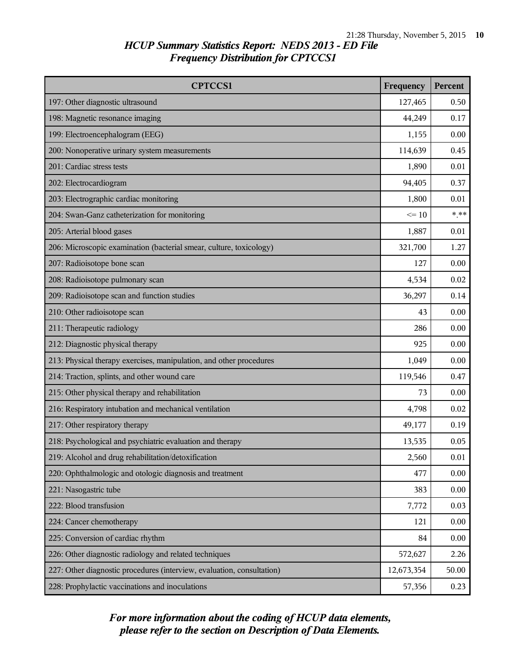| <b>CPTCCS1</b>                                                         | Frequency | Percent  |
|------------------------------------------------------------------------|-----------|----------|
| 197: Other diagnostic ultrasound                                       | 127,465   | 0.50     |
| 198: Magnetic resonance imaging                                        | 44,249    | 0.17     |
| 199: Electroencephalogram (EEG)                                        | 1,155     | 0.00     |
| 200: Nonoperative urinary system measurements                          | 114,639   | 0.45     |
| 201: Cardiac stress tests                                              | 1,890     | 0.01     |
| 202: Electrocardiogram                                                 | 94,405    | 0.37     |
| 203: Electrographic cardiac monitoring                                 | 1,800     | 0.01     |
| 204: Swan-Ganz catheterization for monitoring                          | $\leq 10$ | $***$    |
| 205: Arterial blood gases                                              | 1,887     | 0.01     |
| 206: Microscopic examination (bacterial smear, culture, toxicology)    | 321,700   | 1.27     |
| 207: Radioisotope bone scan                                            | 127       | 0.00     |
| 208: Radioisotope pulmonary scan                                       | 4,534     | 0.02     |
| 209: Radioisotope scan and function studies                            | 36,297    | 0.14     |
| 210: Other radioisotope scan                                           |           | 0.00     |
| 211: Therapeutic radiology                                             |           | 0.00     |
| 212: Diagnostic physical therapy                                       |           | 0.00     |
| 213: Physical therapy exercises, manipulation, and other procedures    | 1,049     | 0.00     |
| 214: Traction, splints, and other wound care                           |           | 0.47     |
| 215: Other physical therapy and rehabilitation                         | 73        | 0.00     |
| 216: Respiratory intubation and mechanical ventilation                 | 4,798     | 0.02     |
| 217: Other respiratory therapy                                         | 49,177    | 0.19     |
| 218: Psychological and psychiatric evaluation and therapy              | 13,535    | 0.05     |
| 219: Alcohol and drug rehabilitation/detoxification                    | 2,560     | $0.01\,$ |
| 220: Ophthalmologic and otologic diagnosis and treatment               | 477       | 0.00     |
| 221: Nasogastric tube                                                  | 383       | 0.00     |
| 222: Blood transfusion                                                 | 7,772     | 0.03     |
| 224: Cancer chemotherapy                                               | 121       | 0.00     |
| 225: Conversion of cardiac rhythm                                      |           | 0.00     |
| 226: Other diagnostic radiology and related techniques                 |           | 2.26     |
| 227: Other diagnostic procedures (interview, evaluation, consultation) |           | 50.00    |
| 228: Prophylactic vaccinations and inoculations                        | 57,356    | 0.23     |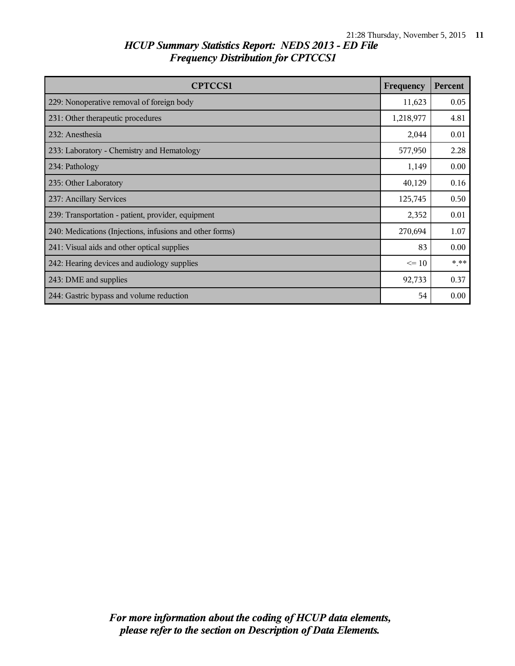| <b>CPTCCS1</b>                                           | Frequency | Percent |
|----------------------------------------------------------|-----------|---------|
| 229: Nonoperative removal of foreign body                | 11,623    | 0.05    |
| 231: Other therapeutic procedures                        | 1,218,977 | 4.81    |
| 232: Anesthesia                                          | 2,044     | 0.01    |
| 233: Laboratory - Chemistry and Hematology               | 577,950   | 2.28    |
| 234: Pathology                                           | 1,149     | 0.00    |
| 235: Other Laboratory                                    |           | 0.16    |
| 237: Ancillary Services                                  |           | 0.50    |
| 239: Transportation - patient, provider, equipment       |           | 0.01    |
| 240: Medications (Injections, infusions and other forms) |           | 1.07    |
| 241: Visual aids and other optical supplies              |           | 0.00    |
| 242: Hearing devices and audiology supplies              |           | * **    |
| 243: DME and supplies                                    |           | 0.37    |
| 244: Gastric bypass and volume reduction                 | 54        | 0.00    |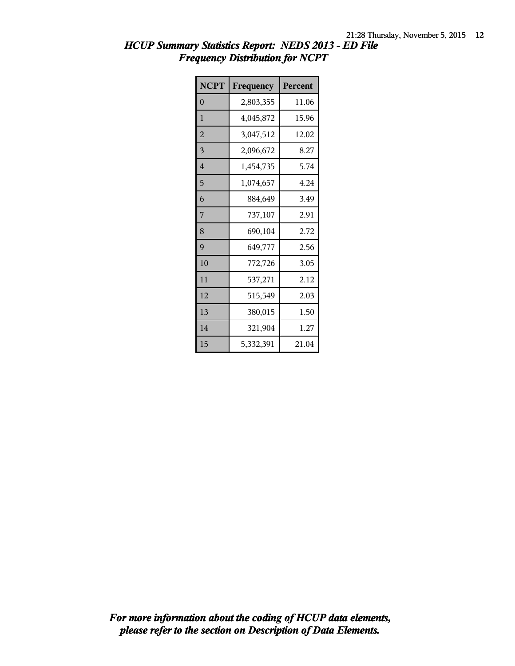| <b>NCPT</b>    | Frequency | Percent |
|----------------|-----------|---------|
| $\overline{0}$ | 2,803,355 | 11.06   |
| 1              | 4,045,872 | 15.96   |
| $\overline{2}$ | 3,047,512 | 12.02   |
| 3              | 2,096,672 | 8.27    |
| $\overline{4}$ | 1,454,735 | 5.74    |
| 5              | 1,074,657 | 4.24    |
| 6              | 884,649   | 3.49    |
| 7              | 737,107   | 2.91    |
| 8              | 690,104   | 2.72    |
| $\mathbf Q$    | 649,777   | 2.56    |
| 10             | 772,726   | 3.05    |
| 11             | 537,271   | 2.12    |
| 12             | 515,549   | 2.03    |
| 13             | 380,015   | 1.50    |
| 14             | 321,904   | 1.27    |
| 15             | 5,332,391 | 21.04   |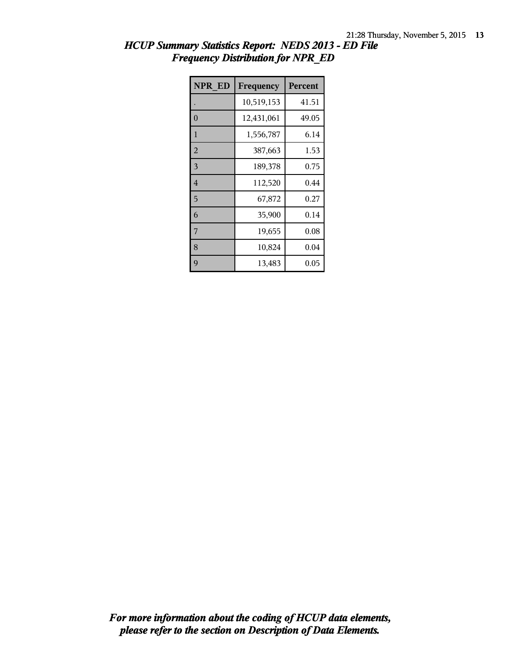| NPR ED         | Frequency  | Percent |
|----------------|------------|---------|
|                | 10,519,153 | 41.51   |
| $\overline{0}$ | 12,431,061 | 49.05   |
| 1              | 1,556,787  | 6.14    |
| $\overline{2}$ | 387,663    | 1.53    |
| $\overline{3}$ | 189,378    | 0.75    |
| $\overline{4}$ | 112,520    | 0.44    |
| 5              | 67,872     | 0.27    |
| 6              | 35,900     | 0.14    |
| 7              | 19,655     | 0.08    |
| 8              | 10,824     | 0.04    |
| 9              | 13,483     | 0.05    |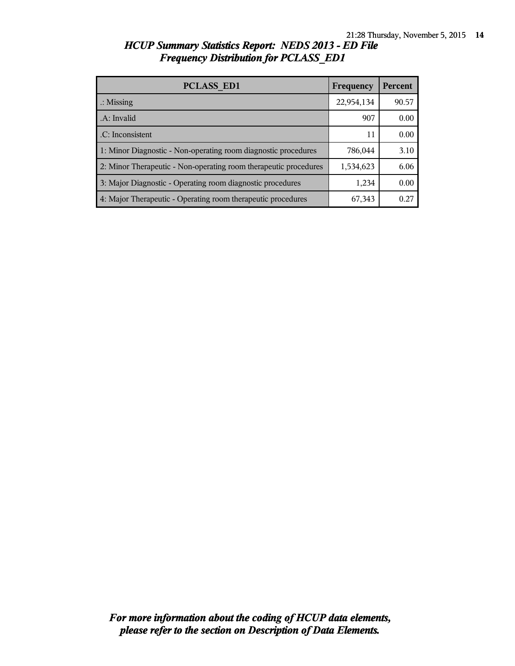| <b>PCLASS ED1</b>                                                | Frequency  | Percent |
|------------------------------------------------------------------|------------|---------|
| $\therefore$ Missing                                             | 22,954,134 | 90.57   |
| .A: Invalid                                                      | 907        | 0.00    |
| .C: Inconsistent                                                 | 11         | 0.00    |
| 1: Minor Diagnostic - Non-operating room diagnostic procedures   | 786,044    | 3.10    |
| 2: Minor Therapeutic - Non-operating room therapeutic procedures | 1,534,623  | 6.06    |
| 3: Major Diagnostic - Operating room diagnostic procedures       | 1,234      | 0.00    |
| 4: Major Therapeutic - Operating room therapeutic procedures     | 67,343     | 0.27    |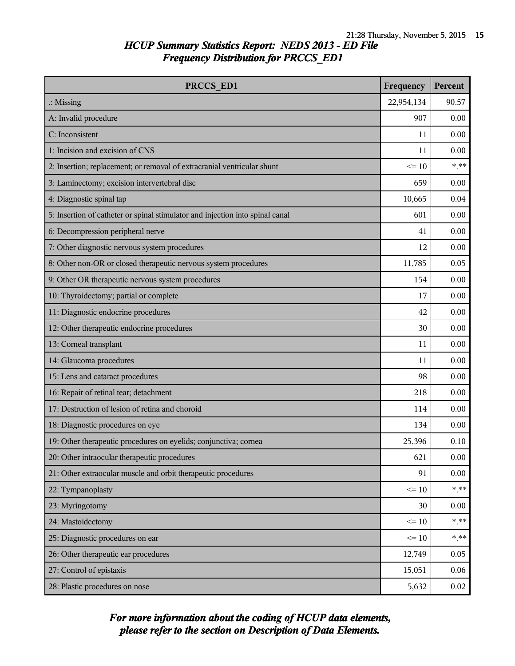| PRCCS ED1                                                                     | Frequency  | Percent |
|-------------------------------------------------------------------------------|------------|---------|
| $\therefore$ Missing                                                          | 22,954,134 | 90.57   |
| A: Invalid procedure                                                          | 907        | 0.00    |
| C: Inconsistent                                                               | 11         | 0.00    |
| 1: Incision and excision of CNS                                               | 11         | 0.00    |
| 2: Insertion; replacement; or removal of extracranial ventricular shunt       | $\leq 10$  | $***$   |
| 3: Laminectomy; excision intervertebral disc                                  | 659        | 0.00    |
| 4: Diagnostic spinal tap                                                      | 10,665     | 0.04    |
| 5: Insertion of catheter or spinal stimulator and injection into spinal canal | 601        | 0.00    |
| 6: Decompression peripheral nerve                                             | 41         | 0.00    |
| 7: Other diagnostic nervous system procedures                                 | 12         | 0.00    |
| 8: Other non-OR or closed therapeutic nervous system procedures               | 11,785     | 0.05    |
| 9: Other OR therapeutic nervous system procedures                             | 154        | 0.00    |
| 10: Thyroidectomy; partial or complete                                        | 17         | 0.00    |
| 11: Diagnostic endocrine procedures                                           | 42         | 0.00    |
| 12: Other therapeutic endocrine procedures                                    | 30         | 0.00    |
| 13: Corneal transplant                                                        | 11         | 0.00    |
| 14: Glaucoma procedures                                                       | 11         | 0.00    |
| 15: Lens and cataract procedures                                              | 98         | 0.00    |
| 16: Repair of retinal tear; detachment                                        | 218        | 0.00    |
| 17: Destruction of lesion of retina and choroid                               | 114        | 0.00    |
| 18: Diagnostic procedures on eye                                              | 134        | 0.00    |
| 19: Other therapeutic procedures on eyelids; conjunctiva; cornea              | 25,396     | 0.10    |
| 20: Other intraocular therapeutic procedures                                  | 621        | 0.00    |
| 21: Other extraocular muscle and orbit therapeutic procedures                 | 91         | 0.00    |
| 22: Tympanoplasty                                                             | $\leq 10$  | $***$   |
| 23: Myringotomy                                                               | 30         | 0.00    |
| 24: Mastoidectomy                                                             | $\leq 10$  | $* * *$ |
| 25: Diagnostic procedures on ear                                              | $\leq 10$  | $***$   |
| 26: Other therapeutic ear procedures                                          | 12,749     | 0.05    |
| 27: Control of epistaxis                                                      | 15,051     | 0.06    |
| 28: Plastic procedures on nose                                                | 5,632      | 0.02    |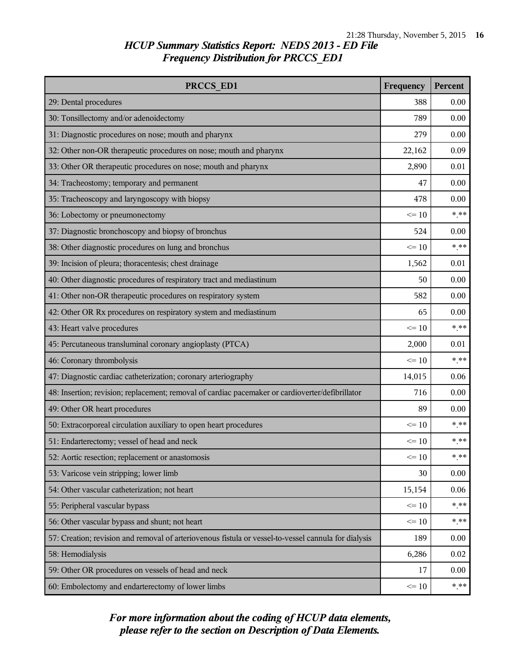| PRCCS ED1                                                                                            |           | Percent |
|------------------------------------------------------------------------------------------------------|-----------|---------|
| 29: Dental procedures                                                                                | 388       | 0.00    |
| 30: Tonsillectomy and/or adenoidectomy                                                               | 789       | 0.00    |
| 31: Diagnostic procedures on nose; mouth and pharynx                                                 | 279       | 0.00    |
| 32: Other non-OR therapeutic procedures on nose; mouth and pharynx                                   | 22,162    | 0.09    |
| 33: Other OR therapeutic procedures on nose; mouth and pharynx                                       | 2,890     | 0.01    |
| 34: Tracheostomy; temporary and permanent                                                            | 47        | 0.00    |
| 35: Tracheoscopy and laryngoscopy with biopsy                                                        | 478       | 0.00    |
| 36: Lobectomy or pneumonectomy                                                                       | $\leq 10$ | $***$   |
| 37: Diagnostic bronchoscopy and biopsy of bronchus                                                   | 524       | 0.00    |
| 38: Other diagnostic procedures on lung and bronchus                                                 | $\leq$ 10 | $***$   |
| 39: Incision of pleura; thoracentesis; chest drainage                                                | 1,562     | 0.01    |
| 40: Other diagnostic procedures of respiratory tract and mediastinum                                 | 50        | 0.00    |
| 41: Other non-OR therapeutic procedures on respiratory system                                        | 582       | 0.00    |
| 42: Other OR Rx procedures on respiratory system and mediastinum                                     | 65        | 0.00    |
| 43: Heart valve procedures                                                                           | $\leq 10$ | $***$   |
| 45: Percutaneous transluminal coronary angioplasty (PTCA)                                            | 2,000     | 0.01    |
| 46: Coronary thrombolysis                                                                            | $\leq 10$ | $***$   |
| 47: Diagnostic cardiac catheterization; coronary arteriography                                       | 14,015    | 0.06    |
| 48: Insertion; revision; replacement; removal of cardiac pacemaker or cardioverter/defibrillator     | 716       | 0.00    |
| 49: Other OR heart procedures                                                                        | 89        | 0.00    |
| 50: Extracorporeal circulation auxiliary to open heart procedures                                    | $\leq 10$ | $***$   |
| 51: Endarterectomy; vessel of head and neck                                                          | $\leq 10$ | $***$   |
| 52: Aortic resection; replacement or anastomosis                                                     | $\leq 10$ | $***$   |
| 53: Varicose vein stripping; lower limb                                                              | 30        | 0.00    |
| 54: Other vascular catheterization; not heart                                                        | 15,154    | 0.06    |
| 55: Peripheral vascular bypass                                                                       | $\leq 10$ | $***$   |
| 56: Other vascular bypass and shunt; not heart                                                       | $\leq 10$ | $***$   |
| 57: Creation; revision and removal of arteriovenous fistula or vessel-to-vessel cannula for dialysis | 189       | 0.00    |
| 58: Hemodialysis                                                                                     | 6,286     | 0.02    |
| 59: Other OR procedures on vessels of head and neck                                                  | 17        | 0.00    |
| 60: Embolectomy and endarterectomy of lower limbs                                                    | $\leq 10$ | $* * *$ |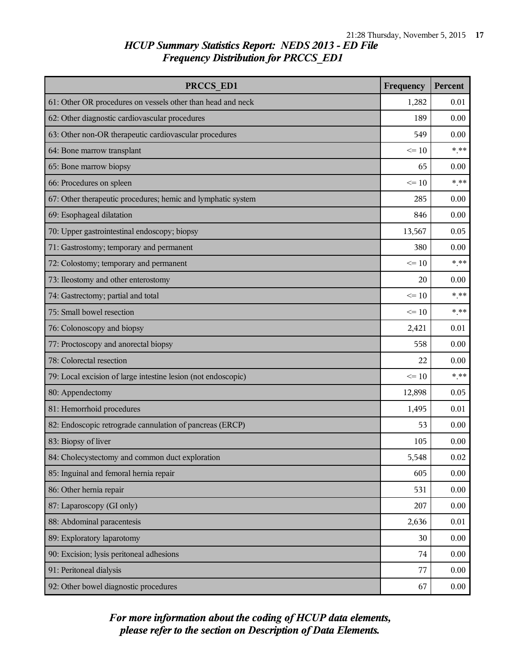| PRCCS ED1                                                     | Frequency | Percent  |
|---------------------------------------------------------------|-----------|----------|
| 61: Other OR procedures on vessels other than head and neck   | 1,282     | 0.01     |
| 62: Other diagnostic cardiovascular procedures                | 189       | 0.00     |
| 63: Other non-OR therapeutic cardiovascular procedures        | 549       | 0.00     |
| 64: Bone marrow transplant                                    | $\leq$ 10 | $***$    |
| 65: Bone marrow biopsy                                        | 65        | 0.00     |
| 66: Procedures on spleen                                      | $\leq 10$ | $* * *$  |
| 67: Other therapeutic procedures; hemic and lymphatic system  | 285       | 0.00     |
| 69: Esophageal dilatation                                     | 846       | 0.00     |
| 70: Upper gastrointestinal endoscopy; biopsy                  | 13,567    | 0.05     |
| 71: Gastrostomy; temporary and permanent                      | 380       | 0.00     |
| 72: Colostomy; temporary and permanent                        | $\leq$ 10 | $***$    |
| 73: Ileostomy and other enterostomy                           | 20        | 0.00     |
| 74: Gastrectomy; partial and total                            | $\leq 10$ | $***$    |
| 75: Small bowel resection                                     | $\leq 10$ | $***$    |
| 76: Colonoscopy and biopsy                                    | 2,421     | 0.01     |
| 77: Proctoscopy and anorectal biopsy                          | 558       | 0.00     |
| 78: Colorectal resection                                      | 22        | 0.00     |
| 79: Local excision of large intestine lesion (not endoscopic) | $\leq 10$ | $***$    |
| 80: Appendectomy                                              | 12,898    | 0.05     |
| 81: Hemorrhoid procedures                                     | 1,495     | 0.01     |
| 82: Endoscopic retrograde cannulation of pancreas (ERCP)      | 53        | 0.00     |
| 83: Biopsy of liver                                           | 105       | 0.00     |
| 84: Cholecystectomy and common duct exploration               | 5,548     | $0.02\,$ |
| 85: Inguinal and femoral hernia repair                        | 605       | 0.00     |
| 86: Other hernia repair                                       | 531       | 0.00     |
| 87: Laparoscopy (GI only)                                     | 207       | 0.00     |
| 88: Abdominal paracentesis                                    | 2,636     | 0.01     |
| 89: Exploratory laparotomy                                    | 30        | 0.00     |
| 90: Excision; lysis peritoneal adhesions                      | 74        | 0.00     |
| 91: Peritoneal dialysis                                       | 77        | 0.00     |
| 92: Other bowel diagnostic procedures                         | 67        | 0.00     |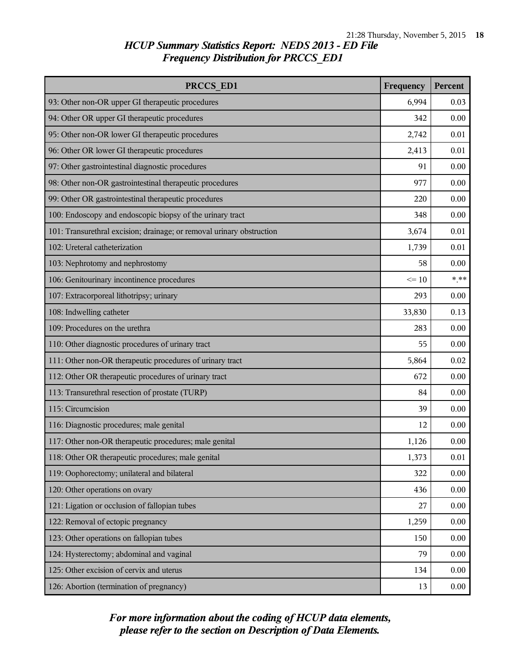| PRCCS ED1                                                             | Frequency | Percent |
|-----------------------------------------------------------------------|-----------|---------|
| 93: Other non-OR upper GI therapeutic procedures                      | 6,994     | 0.03    |
| 94: Other OR upper GI therapeutic procedures                          | 342       | 0.00    |
| 95: Other non-OR lower GI therapeutic procedures                      | 2,742     | 0.01    |
| 96: Other OR lower GI therapeutic procedures                          | 2,413     | 0.01    |
| 97: Other gastrointestinal diagnostic procedures                      | 91        | 0.00    |
| 98: Other non-OR gastrointestinal therapeutic procedures              | 977       | 0.00    |
| 99: Other OR gastrointestinal therapeutic procedures                  | 220       | 0.00    |
| 100: Endoscopy and endoscopic biopsy of the urinary tract             | 348       | 0.00    |
| 101: Transurethral excision; drainage; or removal urinary obstruction | 3,674     | 0.01    |
| 102: Ureteral catheterization                                         | 1,739     | 0.01    |
| 103: Nephrotomy and nephrostomy                                       | 58        | 0.00    |
| 106: Genitourinary incontinence procedures                            | $\leq 10$ | $***$   |
| 107: Extracorporeal lithotripsy; urinary                              | 293       | 0.00    |
| 108: Indwelling catheter                                              | 33,830    | 0.13    |
| 109: Procedures on the urethra                                        | 283       | 0.00    |
| 110: Other diagnostic procedures of urinary tract                     | 55        | 0.00    |
| 111: Other non-OR therapeutic procedures of urinary tract             | 5,864     | 0.02    |
| 112: Other OR therapeutic procedures of urinary tract                 | 672       | 0.00    |
| 113: Transurethral resection of prostate (TURP)                       | 84        | 0.00    |
| 115: Circumcision                                                     | 39        | 0.00    |
| 116: Diagnostic procedures; male genital                              | 12        | 0.00    |
| 117: Other non-OR therapeutic procedures; male genital                | 1,126     | 0.00    |
| 118: Other OR therapeutic procedures; male genital                    | 1,373     | 0.01    |
| 119: Oophorectomy; unilateral and bilateral                           | 322       | 0.00    |
| 120: Other operations on ovary                                        | 436       | 0.00    |
| 121: Ligation or occlusion of fallopian tubes                         | 27        | 0.00    |
| 122: Removal of ectopic pregnancy                                     | 1,259     | 0.00    |
| 123: Other operations on fallopian tubes                              | 150       | 0.00    |
| 124: Hysterectomy; abdominal and vaginal                              | 79        | 0.00    |
| 125: Other excision of cervix and uterus                              | 134       | 0.00    |
| 126: Abortion (termination of pregnancy)                              | 13        | 0.00    |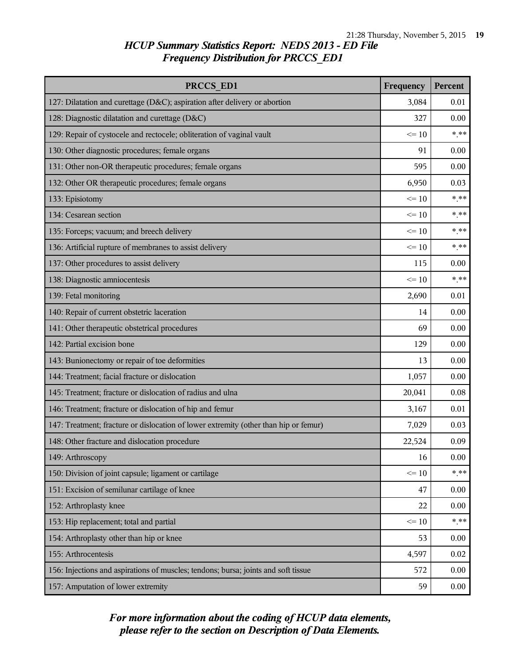| PRCCS ED1                                                                            | Frequency | Percent |
|--------------------------------------------------------------------------------------|-----------|---------|
| 127: Dilatation and curettage (D&C); aspiration after delivery or abortion           | 3,084     | 0.01    |
| 128: Diagnostic dilatation and curettage (D&C)                                       | 327       | 0.00    |
| 129: Repair of cystocele and rectocele; obliteration of vaginal vault                | $\leq 10$ | $***$   |
| 130: Other diagnostic procedures; female organs                                      | 91        | 0.00    |
| 131: Other non-OR therapeutic procedures; female organs                              | 595       | 0.00    |
| 132: Other OR therapeutic procedures; female organs                                  | 6,950     | 0.03    |
| 133: Episiotomy                                                                      | $\leq 10$ | $***$   |
| 134: Cesarean section                                                                | $\leq 10$ | $***$   |
| 135: Forceps; vacuum; and breech delivery                                            | $\leq 10$ | $*$ **  |
| 136: Artificial rupture of membranes to assist delivery                              | $\leq$ 10 | $***$   |
| 137: Other procedures to assist delivery                                             | 115       | 0.00    |
| 138: Diagnostic amniocentesis                                                        | $\leq 10$ | $***$   |
| 139: Fetal monitoring                                                                | 2,690     | 0.01    |
| 140: Repair of current obstetric laceration                                          | 14        | 0.00    |
| 141: Other therapeutic obstetrical procedures                                        | 69        | 0.00    |
| 142: Partial excision bone                                                           | 129       | 0.00    |
| 143: Bunionectomy or repair of toe deformities                                       | 13        | 0.00    |
| 144: Treatment; facial fracture or dislocation                                       | 1,057     | 0.00    |
| 145: Treatment; fracture or dislocation of radius and ulna                           | 20,041    | 0.08    |
| 146: Treatment; fracture or dislocation of hip and femur                             | 3,167     | 0.01    |
| 147: Treatment; fracture or dislocation of lower extremity (other than hip or femur) | 7,029     | 0.03    |
| 148: Other fracture and dislocation procedure                                        | 22,524    | 0.09    |
| 149: Arthroscopy                                                                     | 16        | 0.00    |
| 150: Division of joint capsule; ligament or cartilage                                | $\leq 10$ | $* * *$ |
| 151: Excision of semilunar cartilage of knee                                         | 47        | 0.00    |
| 152: Arthroplasty knee                                                               | 22        | 0.00    |
| 153: Hip replacement; total and partial                                              | $\leq 10$ | $***$   |
| 154: Arthroplasty other than hip or knee                                             | 53        | 0.00    |
| 155: Arthrocentesis                                                                  | 4,597     | 0.02    |
| 156: Injections and aspirations of muscles; tendons; bursa; joints and soft tissue   | 572       | 0.00    |
| 157: Amputation of lower extremity                                                   | 59        | 0.00    |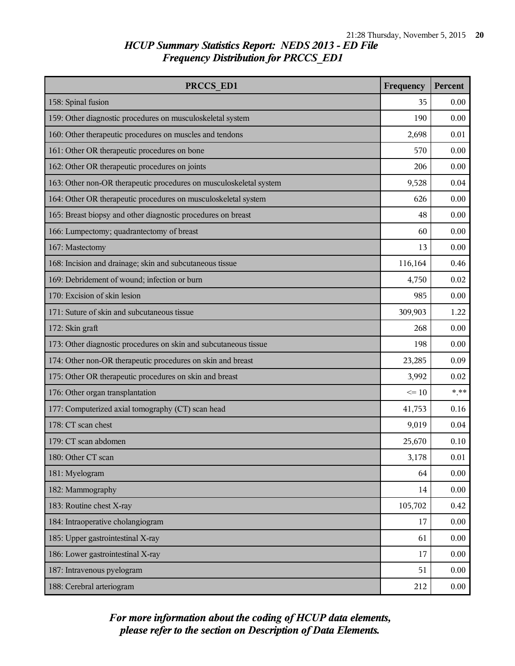| PRCCS ED1                                                          | Frequency | Percent  |
|--------------------------------------------------------------------|-----------|----------|
| 158: Spinal fusion                                                 | 35        | 0.00     |
| 159: Other diagnostic procedures on musculoskeletal system         | 190       | 0.00     |
| 160: Other therapeutic procedures on muscles and tendons           | 2,698     | 0.01     |
| 161: Other OR therapeutic procedures on bone                       | 570       | 0.00     |
| 162: Other OR therapeutic procedures on joints                     | 206       | 0.00     |
| 163: Other non-OR therapeutic procedures on musculoskeletal system | 9,528     | 0.04     |
| 164: Other OR therapeutic procedures on musculoskeletal system     | 626       | 0.00     |
| 165: Breast biopsy and other diagnostic procedures on breast       | 48        | 0.00     |
| 166: Lumpectomy; quadrantectomy of breast                          | 60        | 0.00     |
| 167: Mastectomy                                                    | 13        | 0.00     |
| 168: Incision and drainage; skin and subcutaneous tissue           | 116,164   | 0.46     |
| 169: Debridement of wound; infection or burn                       | 4,750     | 0.02     |
| 170: Excision of skin lesion                                       | 985       | 0.00     |
| 171: Suture of skin and subcutaneous tissue                        | 309,903   | 1.22     |
| 172: Skin graft                                                    | 268       | 0.00     |
| 173: Other diagnostic procedures on skin and subcutaneous tissue   | 198       | 0.00     |
| 174: Other non-OR therapeutic procedures on skin and breast        | 23,285    | 0.09     |
| 175: Other OR therapeutic procedures on skin and breast            | 3,992     | 0.02     |
| 176: Other organ transplantation                                   | $\leq 10$ | $***$    |
| 177: Computerized axial tomography (CT) scan head                  | 41,753    | 0.16     |
| 178: CT scan chest                                                 | 9,019     | 0.04     |
| 179: CT scan abdomen                                               | 25,670    | 0.10     |
| 180: Other CT scan                                                 | 3,178     | $0.01\,$ |
| 181: Myelogram                                                     | 64        | 0.00     |
| 182: Mammography                                                   | 14        | 0.00     |
| 183: Routine chest X-ray                                           | 105,702   | 0.42     |
| 184: Intraoperative cholangiogram                                  | 17        | 0.00     |
| 185: Upper gastrointestinal X-ray                                  | 61        | 0.00     |
| 186: Lower gastrointestinal X-ray                                  | 17        | 0.00     |
| 187: Intravenous pyelogram                                         | 51        | 0.00     |
| 188: Cerebral arteriogram                                          | 212       | 0.00     |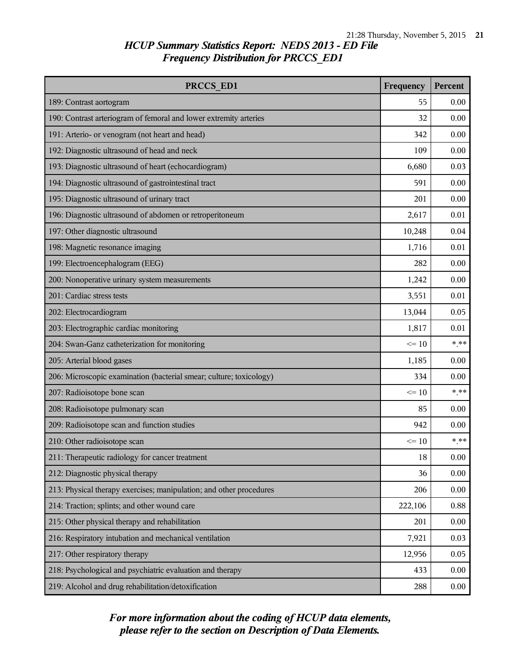| PRCCS ED1                                                           | Frequency | Percent |
|---------------------------------------------------------------------|-----------|---------|
| 189: Contrast aortogram                                             | 55        | 0.00    |
| 190: Contrast arteriogram of femoral and lower extremity arteries   | 32        | 0.00    |
| 191: Arterio- or venogram (not heart and head)                      | 342       | 0.00    |
| 192: Diagnostic ultrasound of head and neck                         | 109       | 0.00    |
| 193: Diagnostic ultrasound of heart (echocardiogram)                | 6,680     | 0.03    |
| 194: Diagnostic ultrasound of gastrointestinal tract                | 591       | 0.00    |
| 195: Diagnostic ultrasound of urinary tract                         | 201       | 0.00    |
| 196: Diagnostic ultrasound of abdomen or retroperitoneum            | 2,617     | 0.01    |
| 197: Other diagnostic ultrasound                                    | 10,248    | 0.04    |
| 198: Magnetic resonance imaging                                     | 1,716     | 0.01    |
| 199: Electroencephalogram (EEG)                                     | 282       | 0.00    |
| 200: Nonoperative urinary system measurements                       | 1,242     | 0.00    |
| 201: Cardiac stress tests                                           | 3,551     | 0.01    |
| 202: Electrocardiogram                                              | 13,044    | 0.05    |
| 203: Electrographic cardiac monitoring                              | 1,817     | 0.01    |
| 204: Swan-Ganz catheterization for monitoring                       | $\leq 10$ | $***$   |
| 205: Arterial blood gases                                           | 1,185     | 0.00    |
| 206: Microscopic examination (bacterial smear; culture; toxicology) | 334       | 0.00    |
| 207: Radioisotope bone scan                                         | $\leq$ 10 | $***$   |
| 208: Radioisotope pulmonary scan                                    | 85        | 0.00    |
| 209: Radioisotope scan and function studies                         | 942       | 0.00    |
| 210: Other radioisotope scan                                        | $\leq$ 10 | $***$   |
| 211: Therapeutic radiology for cancer treatment                     | 18        | 0.00    |
| 212: Diagnostic physical therapy                                    | 36        | 0.00    |
| 213: Physical therapy exercises; manipulation; and other procedures | 206       | 0.00    |
| 214: Traction; splints; and other wound care                        | 222,106   | 0.88    |
| 215: Other physical therapy and rehabilitation                      | 201       | 0.00    |
| 216: Respiratory intubation and mechanical ventilation              | 7,921     | 0.03    |
| 217: Other respiratory therapy                                      | 12,956    | 0.05    |
| 218: Psychological and psychiatric evaluation and therapy           | 433       | 0.00    |
| 219: Alcohol and drug rehabilitation/detoxification                 | 288       | 0.00    |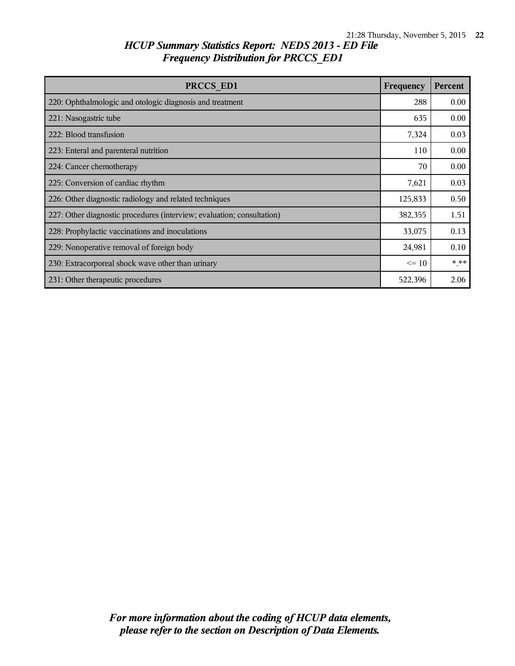| PRCCS ED1                                                              | Frequency | <b>Percent</b> |
|------------------------------------------------------------------------|-----------|----------------|
| 220: Ophthalmologic and otologic diagnosis and treatment               | 288       | 0.00           |
| 221: Nasogastric tube                                                  | 635       | 0.00           |
| 222: Blood transfusion                                                 | 7,324     | 0.03           |
| 223: Enteral and parenteral nutrition                                  | 110       | 0.00           |
| 224: Cancer chemotherapy                                               | 70        | 0.00           |
| 225: Conversion of cardiac rhythm                                      | 7,621     | 0.03           |
| 226: Other diagnostic radiology and related techniques                 | 125,833   | 0.50           |
| 227: Other diagnostic procedures (interview; evaluation; consultation) | 382,355   | 1.51           |
| 228: Prophylactic vaccinations and inoculations                        | 33,075    | 0.13           |
| 229: Nonoperative removal of foreign body                              | 24,981    | 0.10           |
| 230: Extracorporeal shock wave other than urinary                      | $\leq 10$ | $***$          |
| 231: Other therapeutic procedures                                      | 522,396   | 2.06           |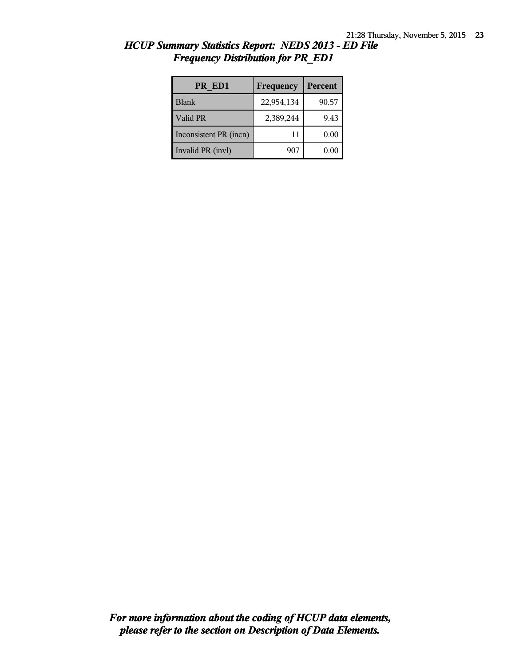| PR ED1                 | <b>Frequency</b> | Percent |
|------------------------|------------------|---------|
| <b>Blank</b>           | 22,954,134       | 90.57   |
| Valid PR               | 2,389,244        | 9.43    |
| Inconsistent PR (incn) | 11               | 0.00    |
| Invalid PR (invl)      | 907              | 0.00    |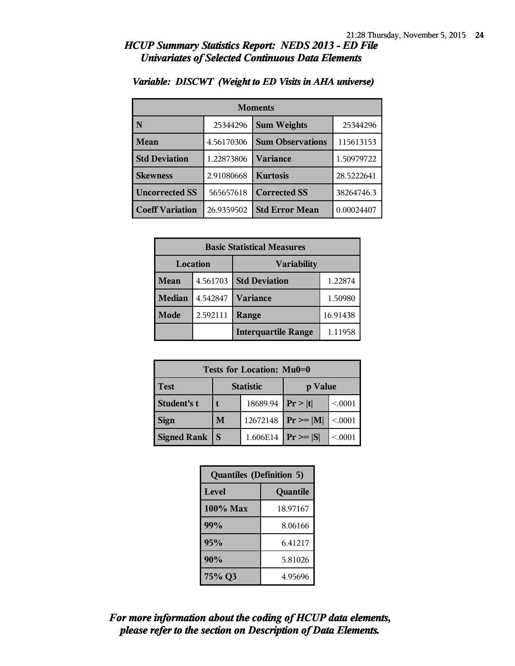#### *HCUP Summary Statistics Report: NEDS 2013 - ED File Univariates of Selected Continuous Data Elements*

| <b>Moments</b>         |            |                         |            |  |
|------------------------|------------|-------------------------|------------|--|
| N                      | 25344296   | <b>Sum Weights</b>      | 25344296   |  |
| Mean                   | 4.56170306 | <b>Sum Observations</b> | 115613153  |  |
| <b>Std Deviation</b>   | 1.22873806 | Variance                | 1.50979722 |  |
| <b>Skewness</b>        | 2.91080668 | <b>Kurtosis</b>         | 28.5222641 |  |
| <b>Uncorrected SS</b>  | 565657618  | <b>Corrected SS</b>     | 38264746.3 |  |
| <b>Coeff Variation</b> | 26.9359502 | <b>Std Error Mean</b>   | 0.00024407 |  |

#### *Variable: DISCWT (Weight to ED Visits in AHA universe)*

| <b>Basic Statistical Measures</b> |          |                            |          |  |  |  |
|-----------------------------------|----------|----------------------------|----------|--|--|--|
| <b>Location</b>                   |          | <b>Variability</b>         |          |  |  |  |
| Mean                              | 4.561703 | <b>Std Deviation</b>       | 1.22874  |  |  |  |
| <b>Median</b>                     | 4.542847 | <b>Variance</b>            | 1.50980  |  |  |  |
| Mode                              | 2.592111 | Range                      | 16.91438 |  |  |  |
|                                   |          | <b>Interquartile Range</b> | 1.11958  |  |  |  |

| <b>Tests for Location: Mu0=0</b> |                  |          |                |        |  |  |
|----------------------------------|------------------|----------|----------------|--------|--|--|
| <b>Test</b>                      | <b>Statistic</b> |          | p Value        |        |  |  |
| <b>Student's t</b>               |                  | 18689.94 | Pr >  t        | < 0001 |  |  |
| <b>Sign</b>                      | M                | 12672148 | $Pr \ge =  M $ | < 0001 |  |  |
| <b>Signed Rank</b>               |                  | 1.606E14 | $Pr \geq  S $  | < 0001 |  |  |

| <b>Quantiles (Definition 5)</b> |          |  |  |
|---------------------------------|----------|--|--|
| Level                           | Quantile |  |  |
| $100\%$ Max                     | 18.97167 |  |  |
| 99%                             | 8.06166  |  |  |
| 95%                             | 6.41217  |  |  |
| 90%                             | 5.81026  |  |  |
| 75% Q3                          | 4.95696  |  |  |